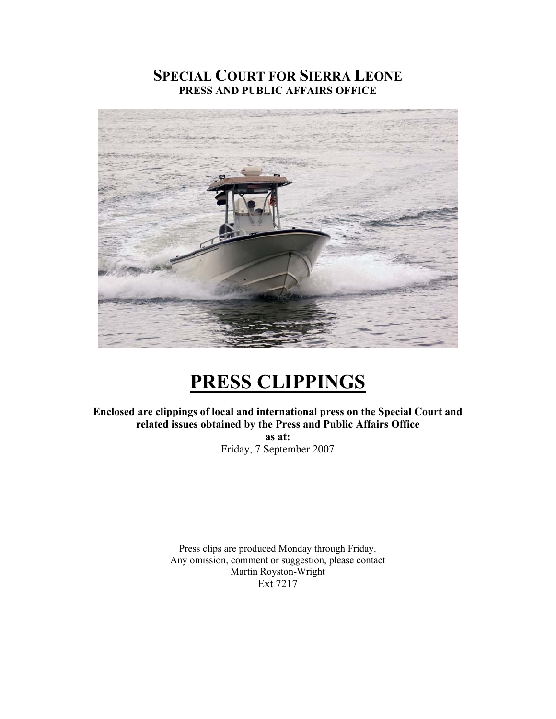# **SPECIAL COURT FOR SIERRA LEONE PRESS AND PUBLIC AFFAIRS OFFICE**



# **PRESS CLIPPINGS**

**Enclosed are clippings of local and international press on the Special Court and related issues obtained by the Press and Public Affairs Office** 

> **as at:**  Friday, 7 September 2007

Press clips are produced Monday through Friday. Any omission, comment or suggestion, please contact Martin Royston-Wright Ext 7217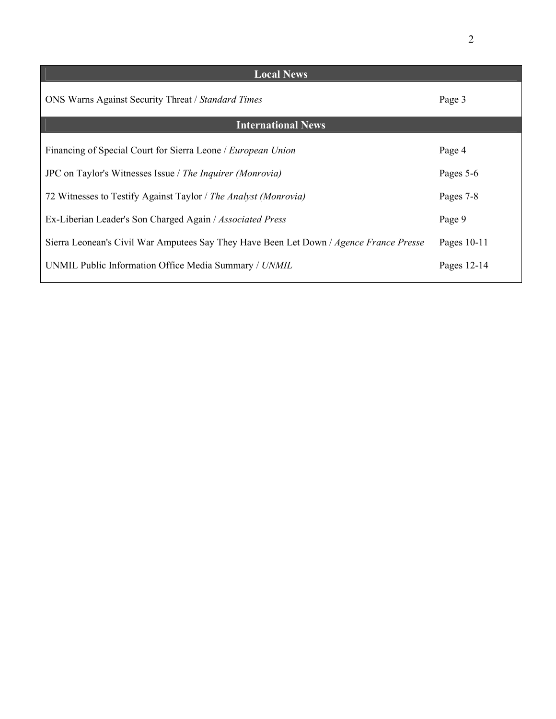| <b>Local News</b>                                                                      |               |
|----------------------------------------------------------------------------------------|---------------|
| <b>ONS Warns Against Security Threat / Standard Times</b>                              | Page 3        |
| <b>International News</b>                                                              |               |
| Financing of Special Court for Sierra Leone / <i>European Union</i>                    | Page 4        |
| JPC on Taylor's Witnesses Issue / The Inquirer (Monrovia)                              | Pages 5-6     |
| 72 Witnesses to Testify Against Taylor / The Analyst (Monrovia)                        | Pages 7-8     |
| Ex-Liberian Leader's Son Charged Again / Associated Press                              | Page 9        |
| Sierra Leonean's Civil War Amputees Say They Have Been Let Down / Agence France Presse | Pages $10-11$ |
| UNMIL Public Information Office Media Summary / UNMIL                                  | Pages 12-14   |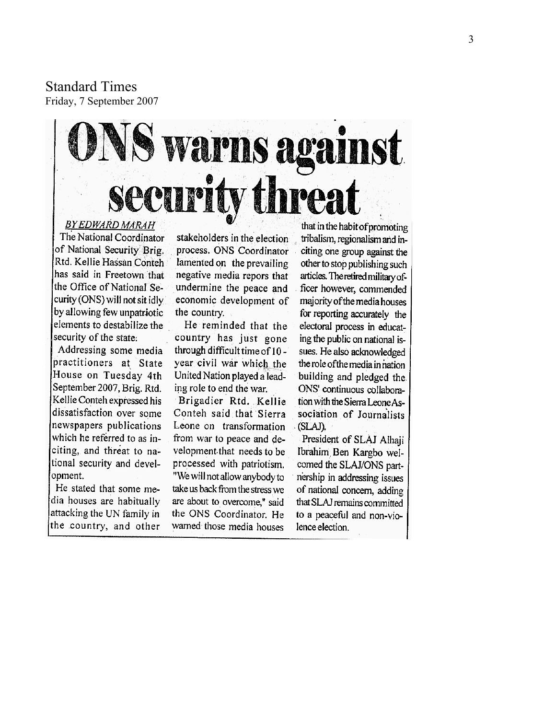Standard Times Friday, 7 September 2007

# **Warns against** security threa **BY EDWARD MARAH**

The National Coordinator of National Security Brig. Rtd. Kellie Hassan Conteh has said in Freetown that the Office of National Security (ONS) will not sit idly by allowing few unpatriotic elements to destabilize the security of the state:

Addressing some media practitioners at State House on Tuesday 4th September 2007, Brig. Rtd. Kellie Conteh expressed his dissatisfaction over some. newspapers publications which he referred to as inciting, and threat to national security and development.

He stated that some media houses are habitually attacking the UN family in the country, and other

stakeholders in the election process. ONS Coordinator lamented on the prevailing negative media repors that undermine the peace and economic development of the country.

He reminded that the country has just gone through difficult time of 10 year civil war which the United Nation played a leading role to end the war.

Brigadier Rtd. Kellie Conteh said that Sierra Leone on transformation from war to peace and development that needs to be processed with patriotism. "We will not allow anybody to take us back from the stress we are about to overcome," said the ONS Coordinator. He warned those media houses

that in the habit of promoting tribalism, regionalism and inciting one group against the other to stop publishing such articles. The retired military officer however, commended majority of the media houses for reporting accurately the electoral process in educating the public on national issues. He also acknowledged the role of the media in nation building and pledged the ONS' continuous collaboration with the Sierra Leone Association of Journalists (SLAJ).

President of SLAJ Alhaji Ibrahim Ben Kargbo welcomed the SLAJ/ONS partnership in addressing issues of national concern, adding that SLAJ remains committed to a peaceful and non-violence election.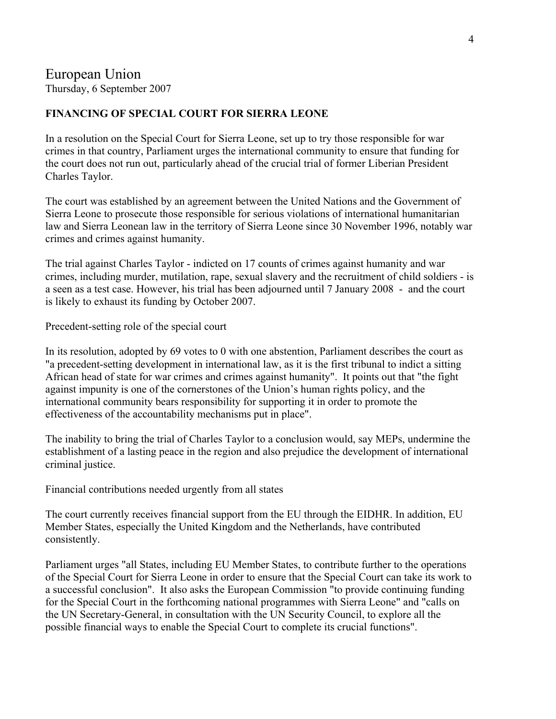Thursday, 6 September 2007

## **FINANCING OF SPECIAL COURT FOR SIERRA LEONE**

In a resolution on the Special Court for Sierra Leone, set up to try those responsible for war crimes in that country, Parliament urges the international community to ensure that funding for the court does not run out, particularly ahead of the crucial trial of former Liberian President Charles Taylor.

The court was established by an agreement between the United Nations and the Government of Sierra Leone to prosecute those responsible for serious violations of international humanitarian law and Sierra Leonean law in the territory of Sierra Leone since 30 November 1996, notably war crimes and crimes against humanity.

The trial against Charles Taylor - indicted on 17 counts of crimes against humanity and war crimes, including murder, mutilation, rape, sexual slavery and the recruitment of child soldiers - is a seen as a test case. However, his trial has been adjourned until 7 January 2008 - and the court is likely to exhaust its funding by October 2007.

Precedent-setting role of the special court

In its resolution, adopted by 69 votes to 0 with one abstention, Parliament describes the court as "a precedent-setting development in international law, as it is the first tribunal to indict a sitting African head of state for war crimes and crimes against humanity". It points out that "the fight against impunity is one of the cornerstones of the Union's human rights policy, and the international community bears responsibility for supporting it in order to promote the effectiveness of the accountability mechanisms put in place".

The inability to bring the trial of Charles Taylor to a conclusion would, say MEPs, undermine the establishment of a lasting peace in the region and also prejudice the development of international criminal justice.

Financial contributions needed urgently from all states

The court currently receives financial support from the EU through the EIDHR. In addition, EU Member States, especially the United Kingdom and the Netherlands, have contributed consistently.

Parliament urges "all States, including EU Member States, to contribute further to the operations of the Special Court for Sierra Leone in order to ensure that the Special Court can take its work to a successful conclusion". It also asks the European Commission "to provide continuing funding for the Special Court in the forthcoming national programmes with Sierra Leone" and "calls on the UN Secretary-General, in consultation with the UN Security Council, to explore all the possible financial ways to enable the Special Court to complete its crucial functions".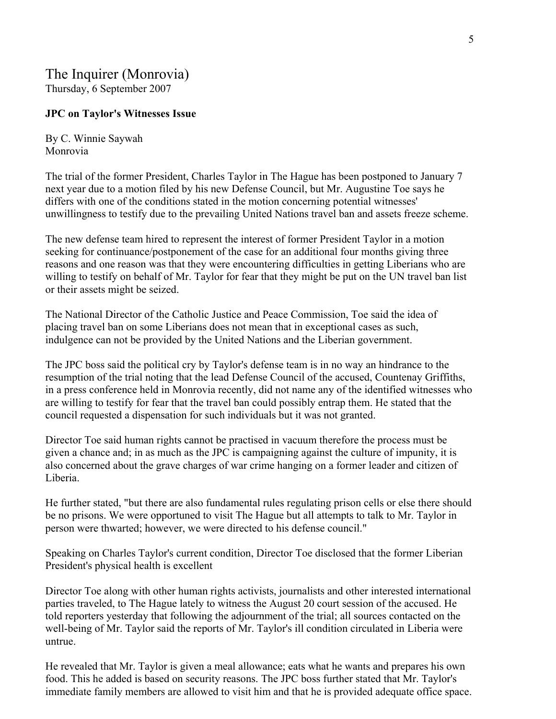## The Inquirer (Monrovia) Thursday, 6 September 2007

#### **JPC on Taylor's Witnesses Issue**

By C. Winnie Saywah Monrovia

The trial of the former President, Charles Taylor in The Hague has been postponed to January 7 next year due to a motion filed by his new Defense Council, but Mr. Augustine Toe says he differs with one of the conditions stated in the motion concerning potential witnesses' unwillingness to testify due to the prevailing United Nations travel ban and assets freeze scheme.

The new defense team hired to represent the interest of former President Taylor in a motion seeking for continuance/postponement of the case for an additional four months giving three reasons and one reason was that they were encountering difficulties in getting Liberians who are willing to testify on behalf of Mr. Taylor for fear that they might be put on the UN travel ban list or their assets might be seized.

The National Director of the Catholic Justice and Peace Commission, Toe said the idea of placing travel ban on some Liberians does not mean that in exceptional cases as such, indulgence can not be provided by the United Nations and the Liberian government.

The JPC boss said the political cry by Taylor's defense team is in no way an hindrance to the resumption of the trial noting that the lead Defense Council of the accused, Countenay Griffiths, in a press conference held in Monrovia recently, did not name any of the identified witnesses who are willing to testify for fear that the travel ban could possibly entrap them. He stated that the council requested a dispensation for such individuals but it was not granted.

Director Toe said human rights cannot be practised in vacuum therefore the process must be given a chance and; in as much as the JPC is campaigning against the culture of impunity, it is also concerned about the grave charges of war crime hanging on a former leader and citizen of Liberia.

He further stated, "but there are also fundamental rules regulating prison cells or else there should be no prisons. We were opportuned to visit The Hague but all attempts to talk to Mr. Taylor in person were thwarted; however, we were directed to his defense council."

Speaking on Charles Taylor's current condition, Director Toe disclosed that the former Liberian President's physical health is excellent

Director Toe along with other human rights activists, journalists and other interested international parties traveled, to The Hague lately to witness the August 20 court session of the accused. He told reporters yesterday that following the adjournment of the trial; all sources contacted on the well-being of Mr. Taylor said the reports of Mr. Taylor's ill condition circulated in Liberia were untrue.

He revealed that Mr. Taylor is given a meal allowance; eats what he wants and prepares his own food. This he added is based on security reasons. The JPC boss further stated that Mr. Taylor's immediate family members are allowed to visit him and that he is provided adequate office space.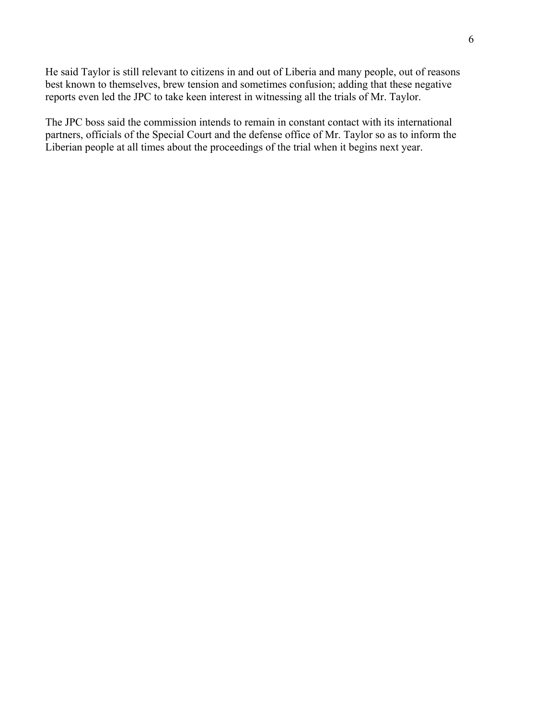He said Taylor is still relevant to citizens in and out of Liberia and many people, out of reasons best known to themselves, brew tension and sometimes confusion; adding that these negative reports even led the JPC to take keen interest in witnessing all the trials of Mr. Taylor.

The JPC boss said the commission intends to remain in constant contact with its international partners, officials of the Special Court and the defense office of Mr. Taylor so as to inform the Liberian people at all times about the proceedings of the trial when it begins next year.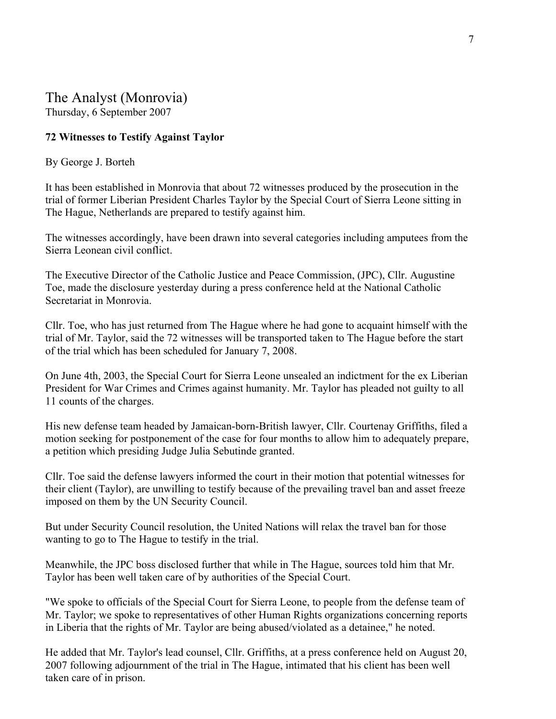# The Analyst (Monrovia)

Thursday, 6 September 2007

## **72 Witnesses to Testify Against Taylor**

#### By George J. Borteh

It has been established in Monrovia that about 72 witnesses produced by the prosecution in the trial of former Liberian President Charles Taylor by the Special Court of Sierra Leone sitting in The Hague, Netherlands are prepared to testify against him.

The witnesses accordingly, have been drawn into several categories including amputees from the Sierra Leonean civil conflict.

The Executive Director of the Catholic Justice and Peace Commission, (JPC), Cllr. Augustine Toe, made the disclosure yesterday during a press conference held at the National Catholic Secretariat in Monrovia.

Cllr. Toe, who has just returned from The Hague where he had gone to acquaint himself with the trial of Mr. Taylor, said the 72 witnesses will be transported taken to The Hague before the start of the trial which has been scheduled for January 7, 2008.

On June 4th, 2003, the Special Court for Sierra Leone unsealed an indictment for the ex Liberian President for War Crimes and Crimes against humanity. Mr. Taylor has pleaded not guilty to all 11 counts of the charges.

His new defense team headed by Jamaican-born-British lawyer, Cllr. Courtenay Griffiths, filed a motion seeking for postponement of the case for four months to allow him to adequately prepare, a petition which presiding Judge Julia Sebutinde granted.

Cllr. Toe said the defense lawyers informed the court in their motion that potential witnesses for their client (Taylor), are unwilling to testify because of the prevailing travel ban and asset freeze imposed on them by the UN Security Council.

But under Security Council resolution, the United Nations will relax the travel ban for those wanting to go to The Hague to testify in the trial.

Meanwhile, the JPC boss disclosed further that while in The Hague, sources told him that Mr. Taylor has been well taken care of by authorities of the Special Court.

"We spoke to officials of the Special Court for Sierra Leone, to people from the defense team of Mr. Taylor; we spoke to representatives of other Human Rights organizations concerning reports in Liberia that the rights of Mr. Taylor are being abused/violated as a detainee," he noted.

He added that Mr. Taylor's lead counsel, Cllr. Griffiths, at a press conference held on August 20, 2007 following adjournment of the trial in The Hague, intimated that his client has been well taken care of in prison.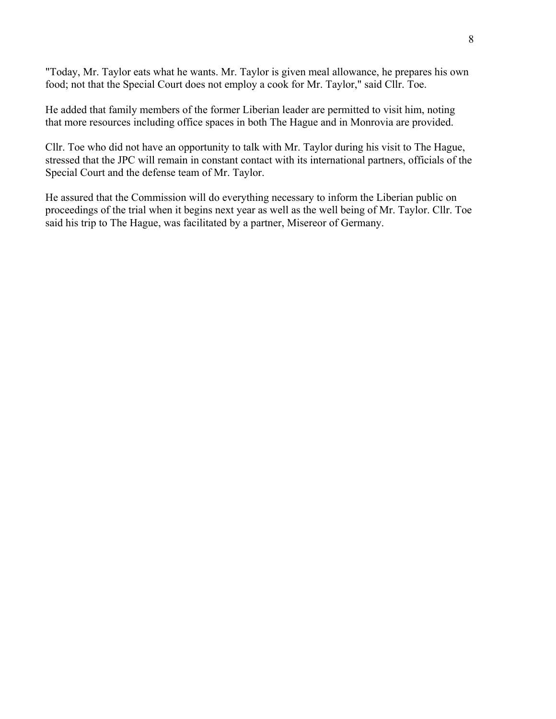"Today, Mr. Taylor eats what he wants. Mr. Taylor is given meal allowance, he prepares his own food; not that the Special Court does not employ a cook for Mr. Taylor," said Cllr. Toe.

He added that family members of the former Liberian leader are permitted to visit him, noting that more resources including office spaces in both The Hague and in Monrovia are provided.

Cllr. Toe who did not have an opportunity to talk with Mr. Taylor during his visit to The Hague, stressed that the JPC will remain in constant contact with its international partners, officials of the Special Court and the defense team of Mr. Taylor.

He assured that the Commission will do everything necessary to inform the Liberian public on proceedings of the trial when it begins next year as well as the well being of Mr. Taylor. Cllr. Toe said his trip to The Hague, was facilitated by a partner, Misereor of Germany.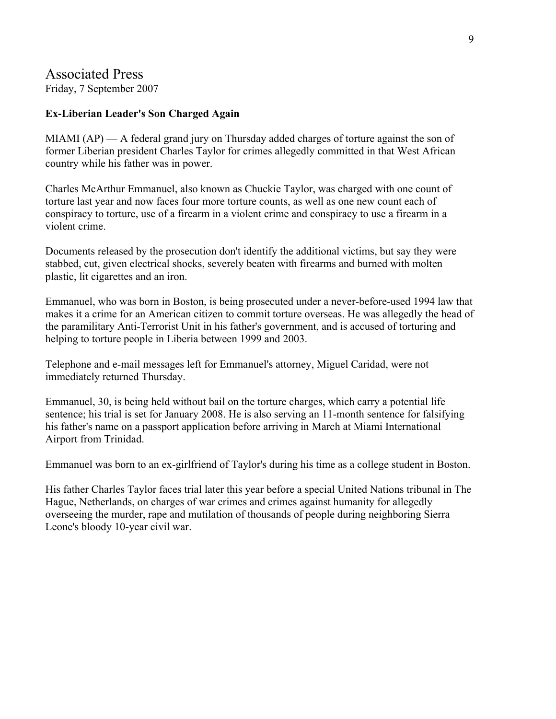# Associated Press

Friday, 7 September 2007

## **Ex-Liberian Leader's Son Charged Again**

MIAMI (AP) — A federal grand jury on Thursday added charges of torture against the son of former Liberian president Charles Taylor for crimes allegedly committed in that West African country while his father was in power.

Charles McArthur Emmanuel, also known as Chuckie Taylor, was charged with one count of torture last year and now faces four more torture counts, as well as one new count each of conspiracy to torture, use of a firearm in a violent crime and conspiracy to use a firearm in a violent crime.

Documents released by the prosecution don't identify the additional victims, but say they were stabbed, cut, given electrical shocks, severely beaten with firearms and burned with molten plastic, lit cigarettes and an iron.

Emmanuel, who was born in Boston, is being prosecuted under a never-before-used 1994 law that makes it a crime for an American citizen to commit torture overseas. He was allegedly the head of the paramilitary Anti-Terrorist Unit in his father's government, and is accused of torturing and helping to torture people in Liberia between 1999 and 2003.

Telephone and e-mail messages left for Emmanuel's attorney, Miguel Caridad, were not immediately returned Thursday.

Emmanuel, 30, is being held without bail on the torture charges, which carry a potential life sentence; his trial is set for January 2008. He is also serving an 11-month sentence for falsifying his father's name on a passport application before arriving in March at Miami International Airport from Trinidad.

Emmanuel was born to an ex-girlfriend of Taylor's during his time as a college student in Boston.

His father Charles Taylor faces trial later this year before a special United Nations tribunal in The Hague, Netherlands, on charges of war crimes and crimes against humanity for allegedly overseeing the murder, rape and mutilation of thousands of people during neighboring Sierra Leone's bloody 10-year civil war.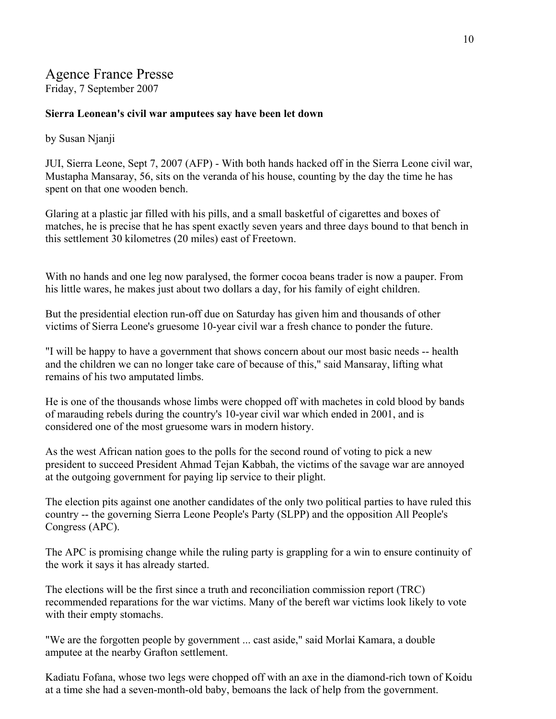# Agence France Presse

Friday, 7 September 2007

#### **Sierra Leonean's civil war amputees say have been let down**

## by Susan Njanji

JUI, Sierra Leone, Sept 7, 2007 (AFP) - With both hands hacked off in the Sierra Leone civil war, Mustapha Mansaray, 56, sits on the veranda of his house, counting by the day the time he has spent on that one wooden bench.

Glaring at a plastic jar filled with his pills, and a small basketful of cigarettes and boxes of matches, he is precise that he has spent exactly seven years and three days bound to that bench in this settlement 30 kilometres (20 miles) east of Freetown.

With no hands and one leg now paralysed, the former cocoa beans trader is now a pauper. From his little wares, he makes just about two dollars a day, for his family of eight children.

But the presidential election run-off due on Saturday has given him and thousands of other victims of Sierra Leone's gruesome 10-year civil war a fresh chance to ponder the future.

"I will be happy to have a government that shows concern about our most basic needs -- health and the children we can no longer take care of because of this," said Mansaray, lifting what remains of his two amputated limbs.

He is one of the thousands whose limbs were chopped off with machetes in cold blood by bands of marauding rebels during the country's 10-year civil war which ended in 2001, and is considered one of the most gruesome wars in modern history.

As the west African nation goes to the polls for the second round of voting to pick a new president to succeed President Ahmad Tejan Kabbah, the victims of the savage war are annoyed at the outgoing government for paying lip service to their plight.

The election pits against one another candidates of the only two political parties to have ruled this country -- the governing Sierra Leone People's Party (SLPP) and the opposition All People's Congress (APC).

The APC is promising change while the ruling party is grappling for a win to ensure continuity of the work it says it has already started.

The elections will be the first since a truth and reconciliation commission report (TRC) recommended reparations for the war victims. Many of the bereft war victims look likely to vote with their empty stomachs.

"We are the forgotten people by government ... cast aside," said Morlai Kamara, a double amputee at the nearby Grafton settlement.

Kadiatu Fofana, whose two legs were chopped off with an axe in the diamond-rich town of Koidu at a time she had a seven-month-old baby, bemoans the lack of help from the government.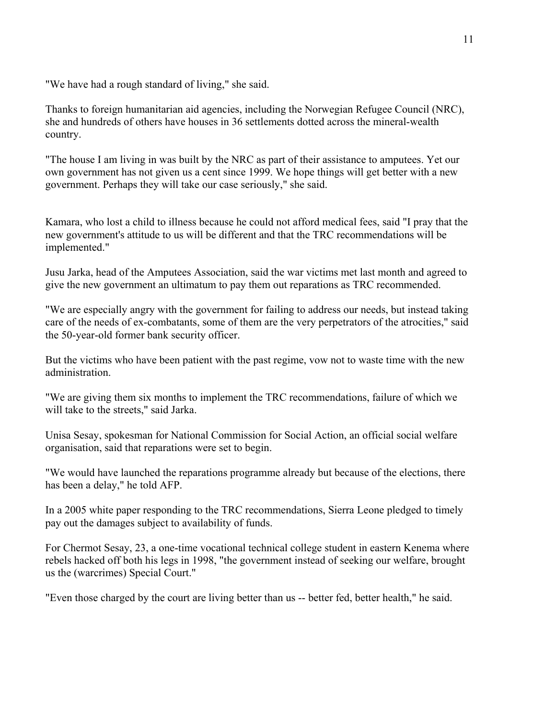"We have had a rough standard of living," she said.

Thanks to foreign humanitarian aid agencies, including the Norwegian Refugee Council (NRC), she and hundreds of others have houses in 36 settlements dotted across the mineral-wealth country.

"The house I am living in was built by the NRC as part of their assistance to amputees. Yet our own government has not given us a cent since 1999. We hope things will get better with a new government. Perhaps they will take our case seriously," she said.

Kamara, who lost a child to illness because he could not afford medical fees, said "I pray that the new government's attitude to us will be different and that the TRC recommendations will be implemented."

Jusu Jarka, head of the Amputees Association, said the war victims met last month and agreed to give the new government an ultimatum to pay them out reparations as TRC recommended.

"We are especially angry with the government for failing to address our needs, but instead taking care of the needs of ex-combatants, some of them are the very perpetrators of the atrocities," said the 50-year-old former bank security officer.

But the victims who have been patient with the past regime, vow not to waste time with the new administration.

"We are giving them six months to implement the TRC recommendations, failure of which we will take to the streets," said Jarka.

Unisa Sesay, spokesman for National Commission for Social Action, an official social welfare organisation, said that reparations were set to begin.

"We would have launched the reparations programme already but because of the elections, there has been a delay," he told AFP.

In a 2005 white paper responding to the TRC recommendations, Sierra Leone pledged to timely pay out the damages subject to availability of funds.

For Chermot Sesay, 23, a one-time vocational technical college student in eastern Kenema where rebels hacked off both his legs in 1998, "the government instead of seeking our welfare, brought us the (warcrimes) Special Court."

"Even those charged by the court are living better than us -- better fed, better health," he said.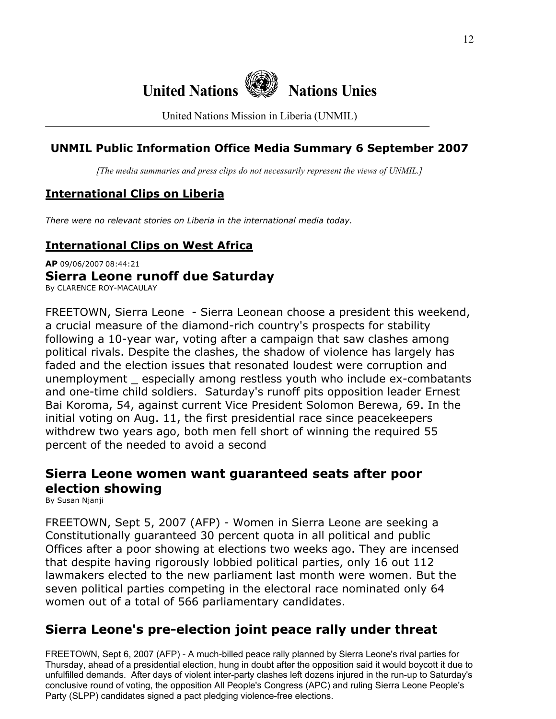

United Nations Mission in Liberia (UNMIL)

# **UNMIL Public Information Office Media Summary 6 September 2007**

*[The media summaries and press clips do not necessarily represent the views of UNMIL.]*

# **International Clips on Liberia**

*There were no relevant stories on Liberia in the international media today.*

# **International Clips on West Africa**

**AP** 09/06/2007 08:44:21 **Sierra Leone runoff due Saturday**  By CLARENCE ROY-MACAULAY

FREETOWN, Sierra Leone - Sierra Leonean choose a president this weekend, a crucial measure of the diamond-rich country's prospects for stability following a 10-year war, voting after a campaign that saw clashes among political rivals. Despite the clashes, the shadow of violence has largely has faded and the election issues that resonated loudest were corruption and unemployment \_ especially among restless youth who include ex-combatants and one-time child soldiers. Saturday's runoff pits opposition leader Ernest Bai Koroma, 54, against current Vice President Solomon Berewa, 69. In the initial voting on Aug. 11, the first presidential race since peacekeepers withdrew two years ago, both men fell short of winning the required 55 percent of the needed to avoid a second

# **Sierra Leone women want guaranteed seats after poor election showing**

By Susan Njanji

FREETOWN, Sept 5, 2007 (AFP) - Women in Sierra Leone are seeking a Constitutionally guaranteed 30 percent quota in all political and public Offices after a poor showing at elections two weeks ago. They are incensed that despite having rigorously lobbied political parties, only 16 out 112 lawmakers elected to the new parliament last month were women. But the seven political parties competing in the electoral race nominated only 64 women out of a total of 566 parliamentary candidates.

# **Sierra Leone's pre-election joint peace rally under threat**

FREETOWN, Sept 6, 2007 (AFP) - A much-billed peace rally planned by Sierra Leone's rival parties for Thursday, ahead of a presidential election, hung in doubt after the opposition said it would boycott it due to unfulfilled demands. After days of violent inter-party clashes left dozens injured in the run-up to Saturday's conclusive round of voting, the opposition All People's Congress (APC) and ruling Sierra Leone People's Party (SLPP) candidates signed a pact pledging violence-free elections.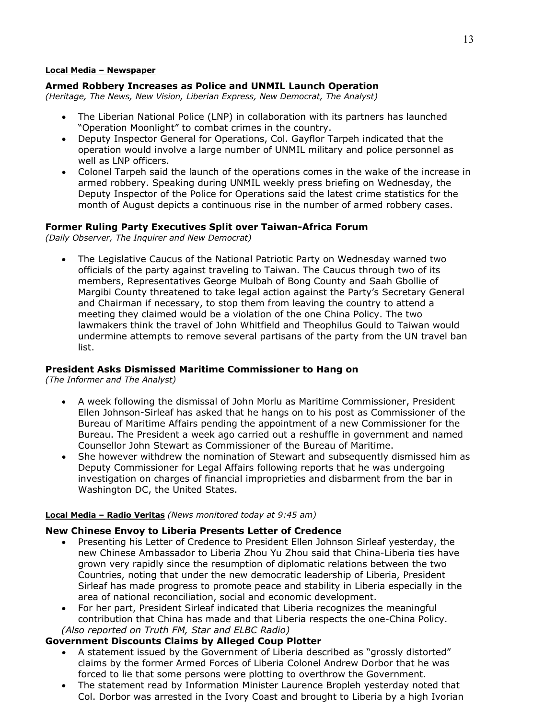#### **Local Media – Newspaper**

#### **Armed Robbery Increases as Police and UNMIL Launch Operation**

*(Heritage, The News, New Vision, Liberian Express, New Democrat, The Analyst)* 

- The Liberian National Police (LNP) in collaboration with its partners has launched "Operation Moonlight" to combat crimes in the country.
- Deputy Inspector General for Operations, Col. Gayflor Tarpeh indicated that the operation would involve a large number of UNMIL military and police personnel as well as LNP officers.
- Colonel Tarpeh said the launch of the operations comes in the wake of the increase in armed robbery. Speaking during UNMIL weekly press briefing on Wednesday, the Deputy Inspector of the Police for Operations said the latest crime statistics for the month of August depicts a continuous rise in the number of armed robbery cases.

#### **Former Ruling Party Executives Split over Taiwan-Africa Forum**

*(Daily Observer, The Inquirer and New Democrat)* 

• The Legislative Caucus of the National Patriotic Party on Wednesday warned two officials of the party against traveling to Taiwan. The Caucus through two of its members, Representatives George Mulbah of Bong County and Saah Gbollie of Margibi County threatened to take legal action against the Party's Secretary General and Chairman if necessary, to stop them from leaving the country to attend a meeting they claimed would be a violation of the one China Policy. The two lawmakers think the travel of John Whitfield and Theophilus Gould to Taiwan would undermine attempts to remove several partisans of the party from the UN travel ban list.

#### **President Asks Dismissed Maritime Commissioner to Hang on**

*(The Informer and The Analyst)* 

- A week following the dismissal of John Morlu as Maritime Commissioner, President Ellen Johnson-Sirleaf has asked that he hangs on to his post as Commissioner of the Bureau of Maritime Affairs pending the appointment of a new Commissioner for the Bureau. The President a week ago carried out a reshuffle in government and named Counsellor John Stewart as Commissioner of the Bureau of Maritime.
- She however withdrew the nomination of Stewart and subsequently dismissed him as Deputy Commissioner for Legal Affairs following reports that he was undergoing investigation on charges of financial improprieties and disbarment from the bar in Washington DC, the United States.

#### **Local Media – Radio Veritas** *(News monitored today at 9:45 am)*

#### **New Chinese Envoy to Liberia Presents Letter of Credence**

- Presenting his Letter of Credence to President Ellen Johnson Sirleaf yesterday, the new Chinese Ambassador to Liberia Zhou Yu Zhou said that China-Liberia ties have grown very rapidly since the resumption of diplomatic relations between the two Countries, noting that under the new democratic leadership of Liberia, President Sirleaf has made progress to promote peace and stability in Liberia especially in the area of national reconciliation, social and economic development.
- For her part, President Sirleaf indicated that Liberia recognizes the meaningful contribution that China has made and that Liberia respects the one-China Policy.  *(Also reported on Truth FM, Star and ELBC Radio)*

#### **Government Discounts Claims by Alleged Coup Plotter**

- A statement issued by the Government of Liberia described as "grossly distorted" claims by the former Armed Forces of Liberia Colonel Andrew Dorbor that he was forced to lie that some persons were plotting to overthrow the Government.
- The statement read by Information Minister Laurence Bropleh yesterday noted that Col. Dorbor was arrested in the Ivory Coast and brought to Liberia by a high Ivorian